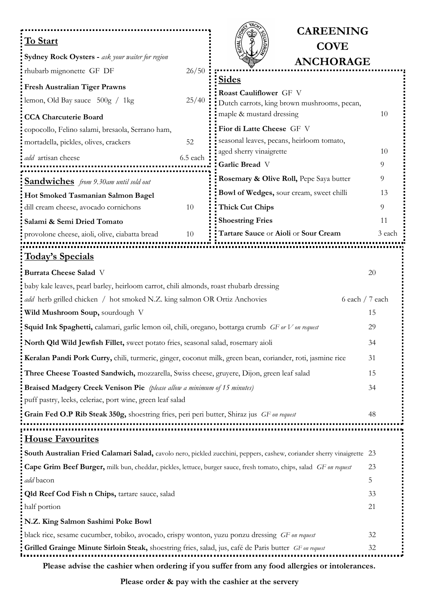|                                                                                                                        | <b>CAREENING</b>                            |          |
|------------------------------------------------------------------------------------------------------------------------|---------------------------------------------|----------|
| <b>To Start</b>                                                                                                        | <b>COVE</b>                                 |          |
| Sydney Rock Oysters - ask your waiter for region                                                                       | <b>ANCHORAGE</b>                            |          |
| 26/50<br>rhubarb mignonette GF DF                                                                                      | <b>Sides</b>                                |          |
| <b>Fresh Australian Tiger Prawns</b>                                                                                   | Roast Cauliflower GF V                      |          |
| 25/40<br>lemon, Old Bay sauce $500g / 1kg$                                                                             | Dutch carrots, king brown mushrooms, pecan, |          |
| <b>CCA Charcuterie Board</b>                                                                                           | maple & mustard dressing                    | 10       |
| copocollo, Felino salami, bresaola, Serrano ham,                                                                       | Fior di Latte Cheese GF V                   |          |
| 52<br>mortadella, pickles, olives, crackers                                                                            | seasonal leaves, pecans, heirloom tomato,   |          |
| 6.5 each<br>add artisan cheese                                                                                         | aged sherry vinaigrette                     | 10       |
|                                                                                                                        | Garlic Bread V                              | 9        |
| <b>Sandwiches</b> from 9.30am until sold out                                                                           | Rosemary & Olive Roll, Pepe Saya butter     | 9        |
| Hot Smoked Tasmanian Salmon Bagel                                                                                      | Bowl of Wedges, sour cream, sweet chilli    | 13       |
| dill cream cheese, avocado cornichons<br>10                                                                            | <b>Thick Cut Chips</b>                      | 9        |
| Salami & Semi Dried Tomato                                                                                             | <b>Shoestring Fries</b>                     | 11       |
| provolone cheese, aioli, olive, ciabatta bread<br>10                                                                   | Tartare Sauce or Aioli or Sour Cream        | 3 each   |
| <u>Today's Specials</u>                                                                                                |                                             |          |
| <b>Burrata Cheese Salad V</b>                                                                                          |                                             | 20       |
| baby kale leaves, pearl barley, heirloom carrot, chili almonds, roast rhubarb dressing                                 |                                             |          |
| 6 each / 7 each<br>add herb grilled chicken / hot smoked N.Z. king salmon OR Ortiz Anchovies                           |                                             |          |
| Wild Mushroom Soup, sourdough V                                                                                        |                                             | 15       |
| Squid Ink Spaghetti, calamari, garlic lemon oil, chili, oregano, bottarga crumb GF or V on request                     |                                             | 29       |
| North Qld Wild Jewfish Fillet, sweet potato fries, seasonal salad, rosemary aioli                                      |                                             |          |
| Keralan Pandi Pork Curry, chili, turmeric, ginger, coconut milk, green bean, coriander, roti, jasmine rice             |                                             |          |
| Three Cheese Toasted Sandwich, mozzarella, Swiss cheese, gruyere, Dijon, green leaf salad                              |                                             | 15       |
| <b>Braised Madgery Creek Venison Pie</b> (please allow a minimum of 15 minutes)                                        |                                             |          |
| puff pastry, leeks, celeriac, port wine, green leaf salad                                                              |                                             |          |
| Grain Fed O.P Rib Steak 350g, shoestring fries, peri peri butter, Shiraz jus GF on request<br>48                       |                                             |          |
|                                                                                                                        |                                             |          |
| <b>House Favourites</b>                                                                                                |                                             |          |
| South Australian Fried Calamari Salad, cavolo nero, pickled zucchini, peppers, cashew, coriander sherry vinaigrette 23 |                                             |          |
| Cape Grim Beef Burger, milk bun, cheddar, pickles, lettuce, burger sauce, fresh tomato, chips, salad GF on request     |                                             | 23       |
| add bacon                                                                                                              |                                             | 5        |
| Qld Reef Cod Fish n Chips, tartare sauce, salad                                                                        |                                             | 33<br>21 |
| half portion                                                                                                           |                                             |          |
| N.Z. King Salmon Sashimi Poke Bowl                                                                                     |                                             |          |
| black rice, sesame cucumber, tobiko, avocado, crispy wonton, yuzu ponzu dressing GF on request                         |                                             | 32<br>32 |
| Grilled Grainge Minute Sirloin Steak, shoestring fries, salad, jus, café de Paris butter GF on request                 |                                             |          |

**Please advise the cashier when ordering if you suffer from any food allergies or intolerances.**

**Please order & pay with the cashier at the servery**